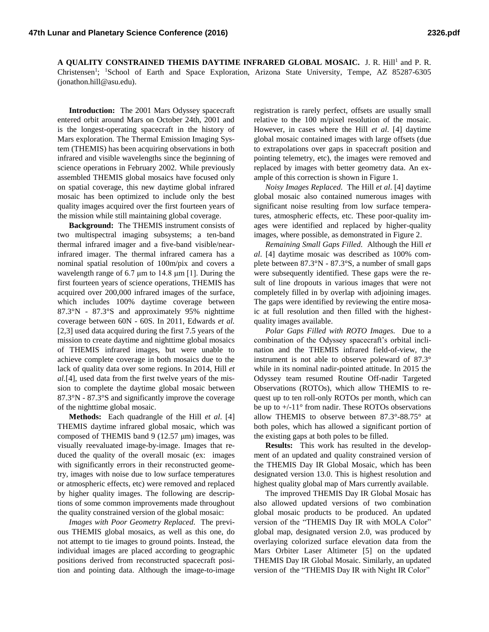**A QUALITY CONSTRAINED THEMIS DAYTIME INFRARED GLOBAL MOSAIC.** J. R. Hill<sup>1</sup> and P. R. Christensen<sup>1</sup>; <sup>1</sup>School of Earth and Space Exploration, Arizona State University, Tempe, AZ 85287-6305 (jonathon.hill@asu.edu).

**Introduction:** The 2001 Mars Odyssey spacecraft entered orbit around Mars on October 24th, 2001 and is the longest-operating spacecraft in the history of Mars exploration. The Thermal Emission Imaging System (THEMIS) has been acquiring observations in both infrared and visible wavelengths since the beginning of science operations in February 2002. While previously assembled THEMIS global mosaics have focused only on spatial coverage, this new daytime global infrared mosaic has been optimized to include only the best quality images acquired over the first fourteen years of the mission while still maintaining global coverage.

**Background:** The THEMIS instrument consists of two multispectral imaging subsystems; a ten-band thermal infrared imager and a five-band visible/nearinfrared imager. The thermal infrared camera has a nominal spatial resolution of 100m/pix and covers a wavelength range of 6.7 μm to 14.8 μm [1]. During the first fourteen years of science operations, THEMIS has acquired over 200,000 infrared images of the surface, which includes 100% daytime coverage between 87.3°N - 87.3°S and approximately 95% nighttime coverage between 60N - 60S. In 2011, Edwards *et al.* [2,3] used data acquired during the first 7.5 years of the mission to create daytime and nighttime global mosaics of THEMIS infrared images, but were unable to achieve complete coverage in both mosaics due to the lack of quality data over some regions. In 2014, Hill *et al.*[4], used data from the first twelve years of the mission to complete the daytime global mosaic between 87.3°N - 87.3°S and significantly improve the coverage of the nighttime global mosaic.

**Methods:** Each quadrangle of the Hill *et al*. [4] THEMIS daytime infrared global mosaic, which was composed of THEMIS band 9 (12.57 μm) images, was visually reevaluated image-by-image. Images that reduced the quality of the overall mosaic (ex: images with significantly errors in their reconstructed geometry, images with noise due to low surface temperatures or atmospheric effects, etc) were removed and replaced by higher quality images. The following are descriptions of some common improvements made throughout the quality constrained version of the global mosaic:

*Images with Poor Geometry Replaced.* The previous THEMIS global mosaics, as well as this one, do not attempt to tie images to ground points. Instead, the individual images are placed according to geographic positions derived from reconstructed spacecraft position and pointing data. Although the image-to-image

registration is rarely perfect, offsets are usually small relative to the 100 m/pixel resolution of the mosaic. However, in cases where the Hill *et al*. [4] daytime global mosaic contained images with large offsets (due to extrapolations over gaps in spacecraft position and pointing telemetry, etc), the images were removed and replaced by images with better geometry data. An example of this correction is shown in Figure 1.

*Noisy Images Replaced.* The Hill *et al*. [4] daytime global mosaic also contained numerous images with significant noise resulting from low surface temperatures, atmospheric effects, etc. These poor-quality images were identified and replaced by higher-quality images, where possible, as demonstrated in Figure 2.

*Remaining Small Gaps Filled.* Although the Hill *et al*. [4] daytime mosaic was described as 100% complete between 87.3°N - 87.3°S, a number of small gaps were subsequently identified. These gaps were the result of line dropouts in various images that were not completely filled in by overlap with adjoining images. The gaps were identified by reviewing the entire mosaic at full resolution and then filled with the highestquality images available.

*Polar Gaps Filled with ROTO Images.* Due to a combination of the Odyssey spacecraft's orbital inclination and the THEMIS infrared field-of-view, the instrument is not able to observe poleward of 87.3° while in its nominal nadir-pointed attitude. In 2015 the Odyssey team resumed Routine Off-nadir Targeted Observations (ROTOs), which allow THEMIS to request up to ten roll-only ROTOs per month, which can be up to  $+/-11^{\circ}$  from nadir. These ROTOs observations allow THEMIS to observe between 87.3°-88.75° at both poles, which has allowed a significant portion of the existing gaps at both poles to be filled.

**Results:** This work has resulted in the development of an updated and quality constrained version of the THEMIS Day IR Global Mosaic, which has been designated version 13.0. This is highest resolution and highest quality global map of Mars currently available.

The improved THEMIS Day IR Global Mosaic has also allowed updated versions of two combination global mosaic products to be produced. An updated version of the "THEMIS Day IR with MOLA Color" global map, designated version 2.0, was produced by overlaying colorized surface elevation data from the Mars Orbiter Laser Altimeter [5] on the updated THEMIS Day IR Global Mosaic. Similarly, an updated version of the "THEMIS Day IR with Night IR Color"